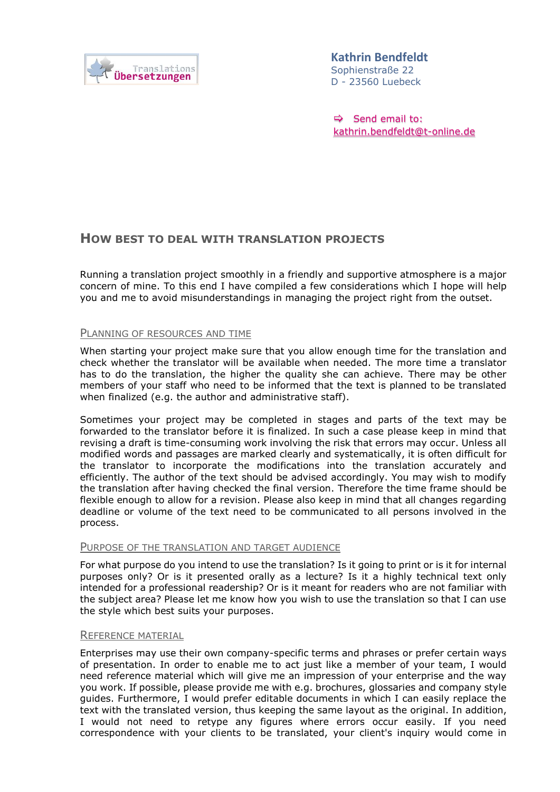

Sophienstraße 22 D - 23560 Luebeck **Kathrin Bendfeldt** 

 $\Rightarrow$  Send email to: [kathrin.bendfeldt@t-online.de](mailto:kathrin.bendfeldt@t-online.de?subject=Anfrage%20zu%20einnem%20Übersetzungsauftrag)

# **HOW BEST TO DEAL WITH TRANSLATION PROJECTS**

Running a translation project smoothly in a friendly and supportive atmosphere is a major concern of mine. To this end I have compiled a few considerations which I hope will help you and me to avoid misunderstandings in managing the project right from the outset.

## PLANNING OF RESOURCES AND TIME

When starting your project make sure that you allow enough time for the translation and check whether the translator will be available when needed. The more time a translator has to do the translation, the higher the quality she can achieve. There may be other members of your staff who need to be informed that the text is planned to be translated when finalized (e.g. the author and administrative staff).

Sometimes your project may be completed in stages and parts of the text may be forwarded to the translator before it is finalized. In such a case please keep in mind that revising a draft is time-consuming work involving the risk that errors may occur. Unless all modified words and passages are marked clearly and systematically, it is often difficult for the translator to incorporate the modifications into the translation accurately and efficiently. The author of the text should be advised accordingly. You may wish to modify the translation after having checked the final version. Therefore the time frame should be flexible enough to allow for a revision. Please also keep in mind that all changes regarding deadline or volume of the text need to be communicated to all persons involved in the process.

### PURPOSE OF THE TRANSLATION AND TARGET AUDIENCE

For what purpose do you intend to use the translation? Is it going to print or is it for internal purposes only? Or is it presented orally as a lecture? Is it a highly technical text only intended for a professional readership? Or is it meant for readers who are not familiar with the subject area? Please let me know how you wish to use the translation so that I can use the style which best suits your purposes.

### REFERENCE MATERIAL

Enterprises may use their own company-specific terms and phrases or prefer certain ways of presentation. In order to enable me to act just like a member of your team, I would need reference material which will give me an impression of your enterprise and the way you work. If possible, please provide me with e.g. brochures, glossaries and company style guides. Furthermore, I would prefer editable documents in which I can easily replace the text with the translated version, thus keeping the same layout as the original. In addition, I would not need to retype any figures where errors occur easily. If you need correspondence with your clients to be translated, your client's inquiry would come in